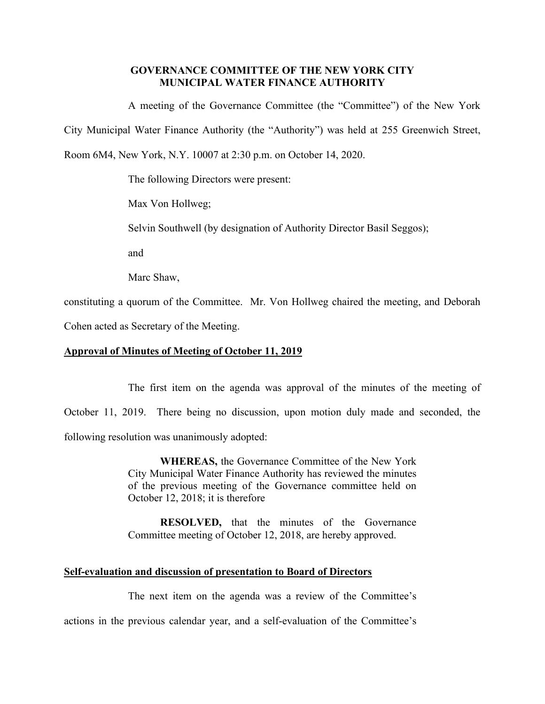# **GOVERNANCE COMMITTEE OF THE NEW YORK CITY MUNICIPAL WATER FINANCE AUTHORITY**

A meeting of the Governance Committee (the "Committee") of the New York

City Municipal Water Finance Authority (the "Authority") was held at 255 Greenwich Street,

Room 6M4, New York, N.Y. 10007 at 2:30 p.m. on October 14, 2020.

The following Directors were present:

Max Von Hollweg;

Selvin Southwell (by designation of Authority Director Basil Seggos);

and

Marc Shaw,

constituting a quorum of the Committee. Mr. Von Hollweg chaired the meeting, and Deborah

Cohen acted as Secretary of the Meeting.

# **Approval of Minutes of Meeting of October 11, 2019**

The first item on the agenda was approval of the minutes of the meeting of October 11, 2019. There being no discussion, upon motion duly made and seconded, the following resolution was unanimously adopted:

> **WHEREAS,** the Governance Committee of the New York City Municipal Water Finance Authority has reviewed the minutes of the previous meeting of the Governance committee held on October 12, 2018; it is therefore

> **RESOLVED,** that the minutes of the Governance Committee meeting of October 12, 2018, are hereby approved.

# **Self-evaluation and discussion of presentation to Board of Directors**

The next item on the agenda was a review of the Committee's

actions in the previous calendar year, and a self-evaluation of the Committee's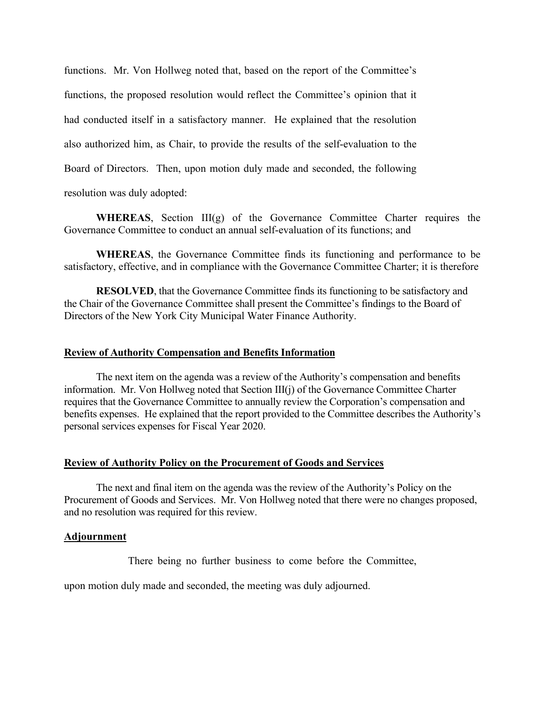functions. Mr. Von Hollweg noted that, based on the report of the Committee's functions, the proposed resolution would reflect the Committee's opinion that it had conducted itself in a satisfactory manner. He explained that the resolution also authorized him, as Chair, to provide the results of the self-evaluation to the Board of Directors. Then, upon motion duly made and seconded, the following resolution was duly adopted:

**WHEREAS**, Section III(g) of the Governance Committee Charter requires the Governance Committee to conduct an annual self-evaluation of its functions; and

**WHEREAS**, the Governance Committee finds its functioning and performance to be satisfactory, effective, and in compliance with the Governance Committee Charter; it is therefore

**RESOLVED**, that the Governance Committee finds its functioning to be satisfactory and the Chair of the Governance Committee shall present the Committee's findings to the Board of Directors of the New York City Municipal Water Finance Authority.

## **Review of Authority Compensation and Benefits Information**

The next item on the agenda was a review of the Authority's compensation and benefits information. Mr. Von Hollweg noted that Section III(j) of the Governance Committee Charter requires that the Governance Committee to annually review the Corporation's compensation and benefits expenses. He explained that the report provided to the Committee describes the Authority's personal services expenses for Fiscal Year 2020.

### **Review of Authority Policy on the Procurement of Goods and Services**

The next and final item on the agenda was the review of the Authority's Policy on the Procurement of Goods and Services. Mr. Von Hollweg noted that there were no changes proposed, and no resolution was required for this review.

### **Adjournment**

There being no further business to come before the Committee,

upon motion duly made and seconded, the meeting was duly adjourned.